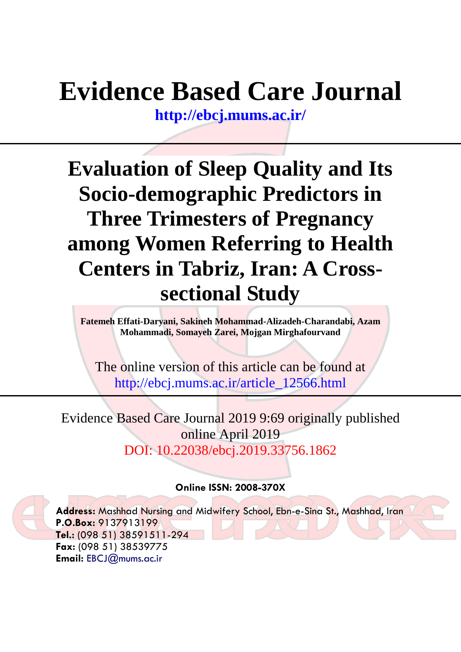# **Evidence Based Care Journal**

**<http://ebcj.mums.ac.ir/>**

## **Evaluation of Sleep Quality and Its Socio-demographic Predictors in Three Trimesters of Pregnancy among Women Referring to Health Centers in Tabriz, Iran: A Crosssectional Study**

**Fatemeh Effati-Daryani, Sakineh Mohammad-Alizadeh-Charandabi, Azam Mohammadi, Somayeh Zarei, Mojgan Mirghafourvand**

The online version of this article can be found at http://ebcj.mums.ac.ir/article\_12566.html

Evidence Based Care Journal 2019 9:69 originally published online April 2019 DOI: 10.22038/ebcj.2019.33756.1862

### **Online ISSN: 2008-370X**

**Address:** Mashhad Nursing and Midwifery School, Ebn-e-Sina St., Mashhad, Iran **P.O.Box:** 9137913199 **Tel.:** (098 51) 38591511-294 **Fax:** (098 51) 38539775 **Email:** [EBCJ@mums.ac.ir](mailto:EBCJ@mums.ac.ir)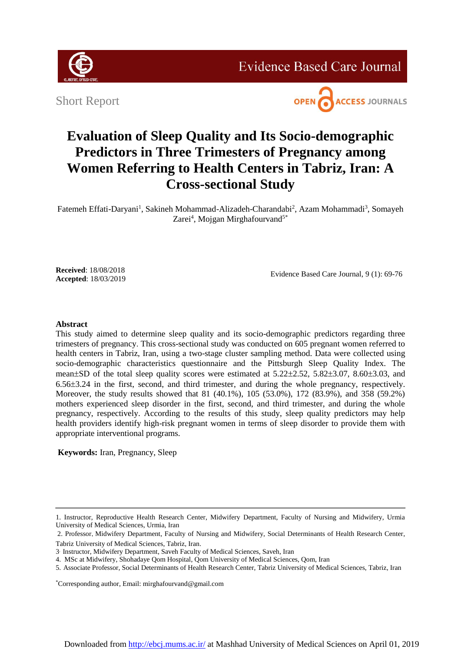

**Evidence Based Care Journal** 

Short Report



### **Evaluation of Sleep Quality and Its Socio-demographic Predictors in Three Trimesters of Pregnancy among Women Referring to Health Centers in Tabriz, Iran: A Cross-sectional Study**

Fatemeh Effati-Daryani<sup>1</sup>, Sakineh Mohammad-Alizadeh-Charandabi<sup>2</sup>, Azam Mohammadi<sup>3</sup>, Somayeh Zarei<sup>4</sup>, Mojgan Mirghafourvand<sup>5\*</sup>

**Received**: 18/08/2018 **Accepted**: 18/03/2019

Evidence Based Care Journal, 9 (1): 69-76

#### **Abstract**

This study aimed to determine sleep quality and its socio-demographic predictors regarding three trimesters of pregnancy. This cross-sectional study was conducted on 605 pregnant women referred to health centers in Tabriz, Iran, using a two-stage cluster sampling method. Data were collected using socio-demographic characteristics questionnaire and the Pittsburgh Sleep Quality Index. The mean $\pm$ SD of the total sleep quality scores were estimated at 5.22 $\pm$ 2.52, 5.82 $\pm$ 3.07, 8.60 $\pm$ 3.03, and  $6.56\pm3.24$  in the first, second, and third trimester, and during the whole pregnancy, respectively. Moreover, the study results showed that 81 (40.1%), 105 (53.0%), 172 (83.9%), and 358 (59.2%) mothers experienced sleep disorder in the first, second, and third trimester, and during the whole pregnancy, respectively. According to the results of this study, sleep quality predictors may help health providers identify high-risk pregnant women in terms of sleep disorder to provide them with appropriate interventional programs.

**Keywords:** Iran, Pregnancy, Sleep

\*Corresponding author, Email[: mirghafourvand@gmail.com](mailto:mirghafourvand@gmail.com)

<sup>1.</sup> Instructor, Reproductive Health Research Center, Midwifery Department, Faculty of Nursing and Midwifery, Urmia University of Medical Sciences, Urmia, Iran

<sup>2.</sup> Professor, Midwifery Department, Faculty of Nursing and Midwifery, Social Determinants of Health Research Center, Tabriz University of Medical Sciences, Tabriz, Iran.

<sup>3</sup> . Instructor, Midwifery Department, Saveh Faculty of Medical Sciences, Saveh, Iran

<sup>4.</sup> MSc at Midwifery, Shohadaye Qom Hospital, Qom University of Medical Sciences, Qom, Iran

<sup>5.</sup> Associate Professor, Social Determinants of Health Research Center, Tabriz University of Medical Sciences, Tabriz, Iran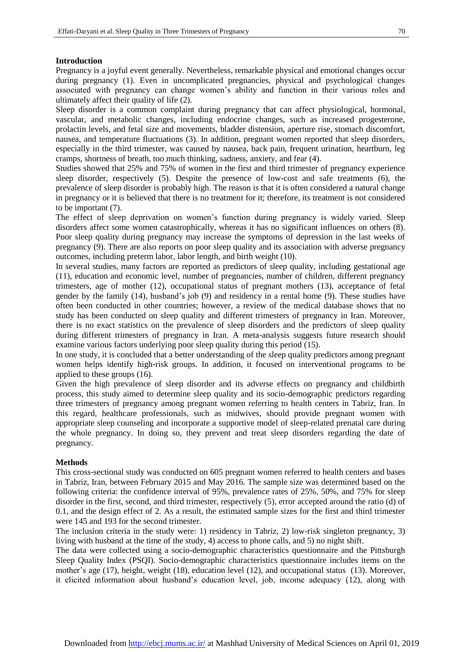#### **Introduction**

Pregnancy is a joyful event generally. Nevertheless, remarkable physical and emotional changes occur during pregnancy [\(1\)](#page-7-0). Even in uncomplicated pregnancies, physical and psychological changes associated with pregnancy can change women's ability and function in their various roles and ultimately affect their quality of life [\(2\)](#page-7-1).

Sleep disorder is a common complaint during pregnancy that can affect physiological, hormonal, vascular, and metabolic changes, including endocrine changes, such as increased progesterone, prolactin levels, and fetal size and movements, bladder distension, aperture rise, stomach discomfort, nausea, and temperature fluctuations [\(3\)](#page-7-2). In addition, pregnant women reported that sleep disorders, especially in the third trimester, was caused by nausea, back pain, frequent urination, heartburn, leg cramps, shortness of breath, too much thinking, sadness, anxiety, and fear [\(4\)](#page-7-3).

Studies showed that 25% and 75% of women in the first and third trimester of pregnancy experience sleep disorder, respectively [\(5\)](#page-7-4). Despite the presence of low-cost and safe treatments [\(6\)](#page-7-5), the prevalence of sleep disorder is probably high. The reason is that it is often considered a natural change in pregnancy or it is believed that there is no treatment for it; therefore, its treatment is not considered to be important [\(7\)](#page-7-6).

The effect of sleep deprivation on women's function during pregnancy is widely varied. Sleep disorders affect some women catastrophically, whereas it has no significant influences on others [\(8\)](#page-7-7). Poor sleep quality during pregnancy may increase the symptoms of depression in the last weeks of pregnancy [\(9\)](#page-7-8). There are also reports on poor sleep quality and its association with adverse pregnancy outcomes, including preterm labor, labor length, and birth weight [\(10\)](#page-7-9).

In several studies, many factors are reported as predictors of sleep quality, including gestational age [\(11\)](#page-7-10), education and economic level, number of pregnancies, number of children, different pregnancy trimesters, age of mother [\(12\)](#page-8-0), occupational status of pregnant mothers [\(13\)](#page-8-1), acceptance of fetal gender by the family [\(14\)](#page-8-2), husband's job [\(9\)](#page-7-8) and residency in a rental home [\(9\)](#page-7-8). These studies have often been conducted in other countries; however, a review of the medical database shows that no study has been conducted on sleep quality and different trimesters of pregnancy in Iran. Moreover, there is no exact statistics on the prevalence of sleep disorders and the predictors of sleep quality during different trimesters of pregnancy in Iran. A meta-analysis suggests future research should examine various factors underlying poor sleep quality during this period [\(15\)](#page-8-3).

In one study, it is concluded that a better understanding of the sleep quality predictors among pregnant women helps identify high-risk groups. In addition, it focused on interventional programs to be applied to these groups [\(16\)](#page-8-4).

Given the high prevalence of sleep disorder and its adverse effects on pregnancy and childbirth process, this study aimed to determine sleep quality and its socio-demographic predictors regarding three trimesters of pregnancy among pregnant women referring to health centers in Tabriz, Iran. In this regard, healthcare professionals, such as midwives, should provide pregnant women with appropriate sleep counseling and incorporate a supportive model of sleep-related prenatal care during the whole pregnancy. In doing so, they prevent and treat sleep disorders regarding the date of pregnancy.

#### **Methods**

This cross-sectional study was conducted on 605 pregnant women referred to health centers and bases in Tabriz, Iran, between February 2015 and May 2016. The sample size was determined based on the following criteria: the confidence interval of 95%, prevalence rates of 25%, 50%, and 75% for sleep disorder in the first, second, and third trimester, respectively [\(5\)](#page-7-4), error accepted around the ratio (d) of 0.1, and the design effect of 2. As a result, the estimated sample sizes for the first and third trimester were 145 and 193 for the second trimester.

The inclusion criteria in the study were: 1) residency in Tabriz, 2) low-risk singleton pregnancy, 3) living with husband at the time of the study, 4) access to phone calls, and 5) no night shift.

The data were collected using a socio-demographic characteristics questionnaire and the Pittsburgh Sleep Quality Index (PSQI). Socio-demographic characteristics questionnaire includes items on the mother's age [\(17\)](#page-8-5), height, weight [\(18\)](#page-8-6), education level [\(12\)](#page-8-0), and occupational status [\(13\)](#page-8-1). Moreover, it elicited information about husband's education level, job, income adequacy [\(12\)](#page-8-0), along with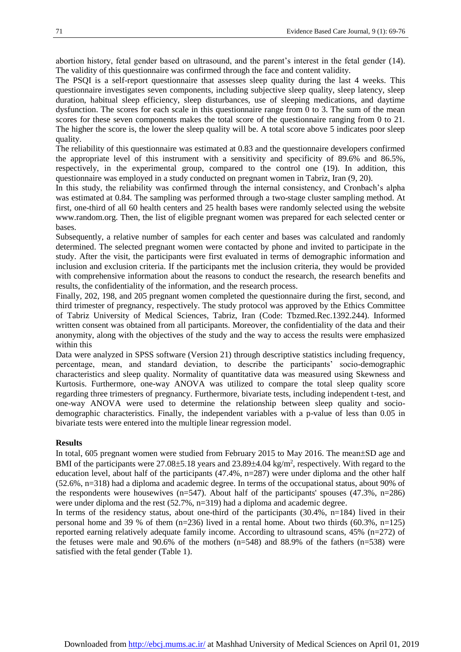abortion history, fetal gender based on ultrasound, and the parent's interest in the fetal gender [\(14\)](#page-8-2). The validity of this questionnaire was confirmed through the face and content validity.

The PSQI is a self-report questionnaire that assesses sleep quality during the last 4 weeks. This questionnaire investigates seven components, including subjective sleep quality, sleep latency, sleep duration, habitual sleep efficiency, sleep disturbances, use of sleeping medications, and daytime dysfunction. The scores for each scale in this questionnaire range from 0 to 3. The sum of the mean scores for these seven components makes the total score of the questionnaire ranging from 0 to 21. The higher the score is, the lower the sleep quality will be. A total score above 5 indicates poor sleep quality.

The reliability of this questionnaire was estimated at 0.83 and the questionnaire developers confirmed the appropriate level of this instrument with a sensitivity and specificity of 89.6% and 86.5%, respectively, in the experimental group, compared to the control one [\(19\)](#page-8-7). In addition, this questionnaire was employed in a study conducted on pregnant women in Tabriz, Iran [\(9,](#page-7-8) [20\)](#page-8-8).

In this study, the reliability was confirmed through the internal consistency, and Cronbach's alpha was estimated at 0.84. The sampling was performed through a two-stage cluster sampling method. At first, one-third of all 60 health centers and 25 health bases were randomly selected using the website www.random.org. Then, the list of eligible pregnant women was prepared for each selected center or bases.

Subsequently, a relative number of samples for each center and bases was calculated and randomly determined. The selected pregnant women were contacted by phone and invited to participate in the study. After the visit, the participants were first evaluated in terms of demographic information and inclusion and exclusion criteria. If the participants met the inclusion criteria, they would be provided with comprehensive information about the reasons to conduct the research, the research benefits and results, the confidentiality of the information, and the research process.

Finally, 202, 198, and 205 pregnant women completed the questionnaire during the first, second, and third trimester of pregnancy, respectively. The study protocol was approved by the Ethics Committee of Tabriz University of Medical Sciences, Tabriz, Iran (Code: Tbzmed.Rec.1392.244). Informed written consent was obtained from all participants. Moreover, the confidentiality of the data and their anonymity, along with the objectives of the study and the way to access the results were emphasized within this

Data were analyzed in SPSS software (Version 21) through descriptive statistics including frequency, percentage, mean, and standard deviation, to describe the participants' socio-demographic characteristics and sleep quality. Normality of quantitative data was measured using Skewness and Kurtosis. Furthermore, one-way ANOVA was utilized to compare the total sleep quality score regarding three trimesters of pregnancy. Furthermore, bivariate tests, including independent t-test, and one-way ANOVA were used to determine the relationship between sleep quality and sociodemographic characteristics. Finally, the independent variables with a p-value of less than 0.05 in bivariate tests were entered into the multiple linear regression model.

#### **Results**

In total, 605 pregnant women were studied from February 2015 to May 2016. The mean $\pm$ SD age and BMI of the participants were  $27.08\pm5.18$  years and  $23.89\pm4.04$  kg/m<sup>2</sup>, respectively. With regard to the education level, about half of the participants  $(47.4\%$ ,  $n=287)$  were under diploma and the other half (52.6%, n=318) had a diploma and academic degree. In terms of the occupational status, about 90% of the respondents were housewives ( $n=547$ ). About half of the participants' spouses ( $47.3\%$ ,  $n=286$ ) were under diploma and the rest (52.7%, n=319) had a diploma and academic degree.

In terms of the residency status, about one-third of the participants (30.4%, n=184) lived in their personal home and 39 % of them  $(n=236)$  lived in a rental home. About two thirds  $(60.3\% , n=125)$ reported earning relatively adequate family income. According to ultrasound scans, 45% (n=272) of the fetuses were male and  $90.6\%$  of the mothers (n=548) and 88.9% of the fathers (n=538) were satisfied with the fetal gender (Table 1).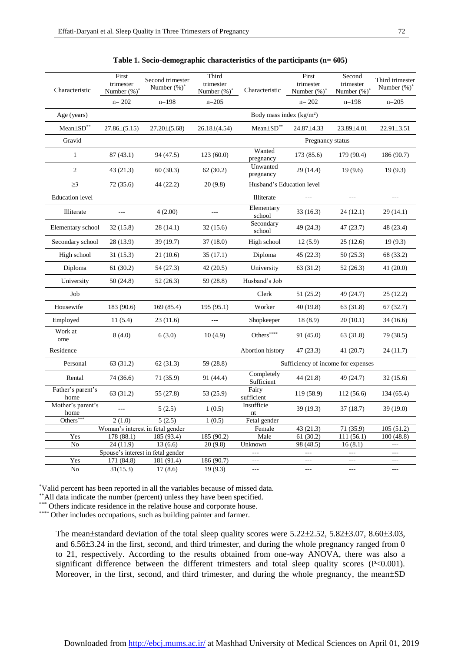| First<br>trimester<br>Number $(\%)^*$ | Second trimester<br>Number $(\%)^*$              | Third<br>trimester<br>Number $(\%)^*$                                                                                   | Characteristic                                 | First<br>trimester<br>Number $(\%)^*$                     | Second<br>trimester<br>Number (%)*                                                                      | Third trimester<br>Number $(\%)^*$                                            |
|---------------------------------------|--------------------------------------------------|-------------------------------------------------------------------------------------------------------------------------|------------------------------------------------|-----------------------------------------------------------|---------------------------------------------------------------------------------------------------------|-------------------------------------------------------------------------------|
| $n = 202$                             | $n=198$                                          | $n = 205$                                                                                                               |                                                | $n = 202$                                                 | $n=198$                                                                                                 | $n = 205$                                                                     |
|                                       | Body mass index $(kg/m2)$                        |                                                                                                                         |                                                |                                                           |                                                                                                         |                                                                               |
| $27.86\pm(5.15)$                      | $27.20\pm(5.68)$                                 | $26.18\pm(4.54)$                                                                                                        | Mean±SD**                                      | 24.87±4.33                                                | 23.89±4.01                                                                                              | $22.91 \pm 3.51$                                                              |
|                                       |                                                  |                                                                                                                         | Pregnancy status                               |                                                           |                                                                                                         |                                                                               |
| 87(43.1)                              | 94 (47.5)                                        | 123(60.0)                                                                                                               | Wanted<br>pregnancy                            | 173 (85.6)                                                | 179 (90.4)                                                                                              | 186 (90.7)                                                                    |
| 43(21.3)                              | 60(30.3)                                         | 62(30.2)                                                                                                                | pregnancy                                      | 29 (14.4)                                                 | 19(9.6)                                                                                                 | 19(9.3)                                                                       |
| 72 (35.6)                             | 44 (22.2)                                        | 20(9.8)                                                                                                                 |                                                |                                                           |                                                                                                         |                                                                               |
|                                       |                                                  |                                                                                                                         | Illiterate                                     | $\overline{a}$                                            | $---$                                                                                                   | $---$                                                                         |
| $---$                                 | 4(2.00)                                          | $---$                                                                                                                   | Elementary<br>school                           | 33(16.3)                                                  | 24(12.1)                                                                                                | 29(14.1)                                                                      |
| 32 (15.8)                             | 28(14.1)                                         | 32(15.6)                                                                                                                | Secondary<br>school                            | 49 (24.3)                                                 | 47(23.7)                                                                                                | 48 (23.4)                                                                     |
| 28 (13.9)                             | 39 (19.7)                                        | 37(18.0)                                                                                                                | High school                                    | 12(5.9)                                                   | 25(12.6)                                                                                                | 19(9.3)                                                                       |
| 31(15.3)                              | 21(10.6)                                         | 35(17.1)                                                                                                                | Diploma                                        | 45(22.3)                                                  | 50(25.3)                                                                                                | 68 (33.2)                                                                     |
| 61(30.2)                              | 54 (27.3)                                        | 42(20.5)                                                                                                                | University                                     | 63 (31.2)                                                 | 52(26.3)                                                                                                | 41 $(20.0)$                                                                   |
| 50(24.8)                              | 52(26.3)                                         | 59 (28.8)                                                                                                               | Husband's Job                                  |                                                           |                                                                                                         |                                                                               |
|                                       |                                                  |                                                                                                                         | Clerk                                          | 51(25.2)                                                  | 49 (24.7)                                                                                               | 25(12.2)                                                                      |
| 183 (90.6)                            | 169 (85.4)                                       | 195 (95.1)                                                                                                              | Worker                                         | 40(19.8)                                                  | 63 (31.8)                                                                                               | 67(32.7)                                                                      |
| 11(5.4)                               | 23(11.6)                                         | ---                                                                                                                     | Shopkeeper                                     | 18(8.9)                                                   | 20(10.1)                                                                                                | 34(16.6)                                                                      |
| 8(4.0)                                | 6(3.0)                                           | 10(4.9)                                                                                                                 | Others <sup>****</sup>                         | 91(45.0)                                                  | 63 (31.8)                                                                                               | 79 (38.5)                                                                     |
|                                       |                                                  |                                                                                                                         | Abortion history                               | 47(23.3)                                                  | 41(20.7)                                                                                                | 24(11.7)                                                                      |
| 63 (31.2)                             | 62 (31.3)                                        | 59 (28.8)                                                                                                               | Sufficiency of income for expenses             |                                                           |                                                                                                         |                                                                               |
| 74 (36.6)                             | 71(35.9)                                         | 91 (44.4)                                                                                                               | Completely<br>Sufficient                       | 44(21.8)                                                  | 49 (24.7)                                                                                               | 32(15.6)                                                                      |
| 63 (31.2)                             | 55 (27.8)                                        | 53 (25.9)                                                                                                               | Fairy<br>sufficient                            | 119 (58.9)                                                | 112(56.6)                                                                                               | 134 (65.4)                                                                    |
| $ -$                                  | 5(2.5)                                           | 1(0.5)                                                                                                                  | Insufficie<br>nt                               | 39(19.3)                                                  | 37(18.7)                                                                                                | 39 (19.0)                                                                     |
| 2(1.0)                                | 5(2.5)                                           | 1(0.5)                                                                                                                  | Fetal gender                                   |                                                           |                                                                                                         |                                                                               |
|                                       |                                                  |                                                                                                                         | Female                                         |                                                           | 71 (35.9)                                                                                               | 105(51.2)                                                                     |
|                                       |                                                  |                                                                                                                         |                                                |                                                           | 111(56.1)                                                                                               | 100(48.8)                                                                     |
|                                       |                                                  |                                                                                                                         |                                                |                                                           |                                                                                                         | $\overline{a}$                                                                |
| Yes                                   |                                                  |                                                                                                                         |                                                |                                                           |                                                                                                         | $- - -$                                                                       |
|                                       |                                                  |                                                                                                                         |                                                |                                                           |                                                                                                         | $---$<br>$\sim$ $\sim$ $\sim$                                                 |
|                                       | 178 (88.1)<br>24(11.9)<br>171 (84.8)<br>31(15.3) | Woman's interest in fetal gender<br>185 (93.4)<br>13(6.6)<br>Spouse's interest in fetal gender<br>181 (91.4)<br>17(8.6) | 185 (90.2)<br>20(9.8)<br>186 (90.7)<br>19(9.3) | Unwanted<br>Male<br>Unknown<br>$---$<br>$---$<br>$\cdots$ | Husband's Education level<br>43(21.3)<br>61(30.2)<br>98 (48.5)<br>$---$<br>$  -$<br>$\qquad \qquad - -$ | 16(8.1)<br>$\overline{a}$<br>$\scriptstyle\cdots$ .<br>$\scriptstyle\cdots$ . |

**Table 1. Socio-demographic characteristics of the participants (n= 605)**

\*Valid percent has been reported in all the variables because of missed data.

\*\*All data indicate the number (percent) unless they have been specified.

\*\*\* Others indicate residence in the relative house and corporate house.

\*\*\*\*\* Other includes occupations, such as building painter and farmer.

The mean $\pm$ standard deviation of the total sleep quality scores were 5.22 $\pm$ 2.52, 5.82 $\pm$ 3.07, 8.60 $\pm$ 3.03, and 6.56 $\pm$ 3.24 in the first, second, and third trimester, and during the whole pregnancy ranged from 0 to 21, respectively. According to the results obtained from one-way ANOVA, there was also a significant difference between the different trimesters and total sleep quality scores (P<0.001). Moreover, in the first, second, and third trimester, and during the whole pregnancy, the mean $\pm SD$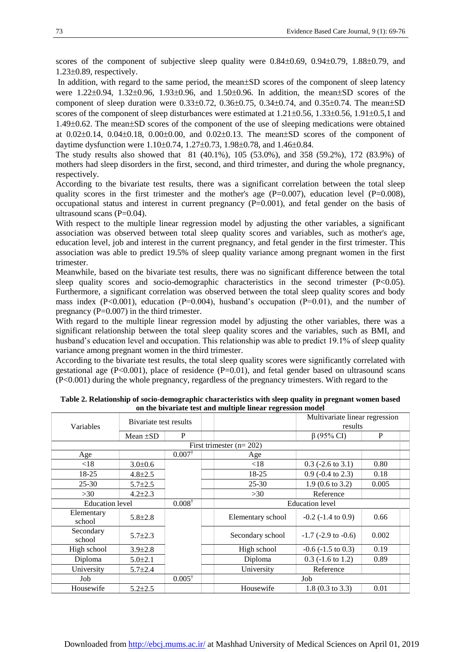scores of the component of subjective sleep quality were  $0.84\pm0.69$ ,  $0.94\pm0.79$ ,  $1.88\pm0.79$ , and  $1.23\pm0.89$ , respectively.

In addition, with regard to the same period, the mean $\pm SD$  scores of the component of sleep latency were  $1.22\pm0.94$ ,  $1.32\pm0.96$ ,  $1.93\pm0.96$ , and  $1.50\pm0.96$ . In addition, the mean $\pm$ SD scores of the component of sleep duration were  $0.33\pm0.72$ ,  $0.36\pm0.75$ ,  $0.34\pm0.74$ , and  $0.35\pm0.74$ . The mean $\pm$ SD scores of the component of sleep disturbances were estimated at  $1.21 \pm 0.56$ ,  $1.33 \pm 0.56$ ,  $1.91 \pm 0.5$ , 1 and  $1.49\pm0.62$ . The mean $\pm$ SD scores of the component of the use of sleeping medications were obtained at  $0.02\pm0.14$ ,  $0.04\pm0.18$ ,  $0.00\pm0.00$ , and  $0.02\pm0.13$ . The mean $\pm$ SD scores of the component of daytime dysfunction were  $1.10 \pm 0.74$ ,  $1.27 \pm 0.73$ ,  $1.98 \pm 0.78$ , and  $1.46 \pm 0.84$ .

The study results also showed that 81 (40.1%), 105 (53.0%), and 358 (59.2%), 172 (83.9%) of mothers had sleep disorders in the first, second, and third trimester, and during the whole pregnancy, respectively.

According to the bivariate test results, there was a significant correlation between the total sleep quality scores in the first trimester and the mother's age  $(P=0.007)$ , education level  $(P=0.008)$ , occupational status and interest in current pregnancy (P=0.001), and fetal gender on the basis of ultrasound scans (P=0.04).

With respect to the multiple linear regression model by adjusting the other variables, a significant association was observed between total sleep quality scores and variables, such as mother's age, education level, job and interest in the current pregnancy, and fetal gender in the first trimester. This association was able to predict 19.5% of sleep quality variance among pregnant women in the first trimester.

Meanwhile, based on the bivariate test results, there was no significant difference between the total sleep quality scores and socio-demographic characteristics in the second trimester  $(P<0.05)$ . Furthermore, a significant correlation was observed between the total sleep quality scores and body mass index  $(P< 0.001)$ , education  $(P= 0.004)$ , husband's occupation  $(P= 0.01)$ , and the number of pregnancy  $(P=0.007)$  in the third trimester.

With regard to the multiple linear regression model by adjusting the other variables, there was a significant relationship between the total sleep quality scores and the variables, such as BMI, and husband's education level and occupation. This relationship was able to predict 19.1% of sleep quality variance among pregnant women in the third trimester.

According to the bivariate test results, the total sleep quality scores were significantly correlated with gestational age  $(P<0.001)$ , place of residence  $(P=0.01)$ , and fetal gender based on ultrasound scans (P<0.001) during the whole pregnancy, regardless of the pregnancy trimesters. With regard to the

|                           |                        |                   | on the bivariate test and multiple miear regression model |                                           |       |  |  |  |
|---------------------------|------------------------|-------------------|-----------------------------------------------------------|-------------------------------------------|-------|--|--|--|
| Variables                 | Bivariate test results |                   |                                                           | Multivariate linear regression<br>results |       |  |  |  |
|                           | Mean $\pm SD$          | P                 |                                                           | $\beta$ (95% CI)                          | P     |  |  |  |
| First trimester $(n=202)$ |                        |                   |                                                           |                                           |       |  |  |  |
| Age                       |                        | $0.007^*$         | Age                                                       |                                           |       |  |  |  |
| ${<}18$                   | $3.0 \pm 0.6$          |                   | < 18                                                      | $0.3$ (-2.6 to 3.1)                       | 0.80  |  |  |  |
| 18-25                     | $4.8 \pm 2.5$          |                   | 18-25                                                     | $0.9$ (-0.4 to 2.3)                       | 0.18  |  |  |  |
| $25 - 30$                 | $5.7 \pm 2.5$          |                   | $25 - 30$                                                 | $1.9(0.6 \text{ to } 3.2)$                | 0.005 |  |  |  |
| >30                       | $4.2 \pm 2.3$          |                   | >30                                                       | Reference                                 |       |  |  |  |
|                           | <b>Education</b> level |                   |                                                           | <b>Education</b> level                    |       |  |  |  |
| Elementary<br>school      | $5.8 \pm 2.8$          |                   | Elementary school                                         | $-0.2$ ( $-1.4$ to 0.9)                   | 0.66  |  |  |  |
| Secondary<br>school       | $5.7 \pm 2.3$          |                   | Secondary school                                          | $-1.7$ ( $-2.9$ to $-0.6$ )               | 0.002 |  |  |  |
| High school               | $3.9 \pm 2.8$          |                   | High school                                               | $-0.6$ ( $-1.5$ to 0.3)                   | 0.19  |  |  |  |
| Diploma                   | $5.0 \pm 2.1$          |                   | Diploma                                                   | $0.3$ ( $-1.6$ to $1.2$ )                 | 0.89  |  |  |  |
| University                | $5.7 \pm 2.4$          |                   | University                                                | Reference                                 |       |  |  |  |
| Job                       |                        | $0.005^{\dagger}$ | Job                                                       |                                           |       |  |  |  |
| Housewife                 | $5.2 \pm 2.5$          |                   | Housewife                                                 | $1.8(0.3 \text{ to } 3.3)$                | 0.01  |  |  |  |

**Table 2. Relationship of socio-demographic characteristics with sleep quality in pregnant women based on the bivariate test and multiple linear regression model**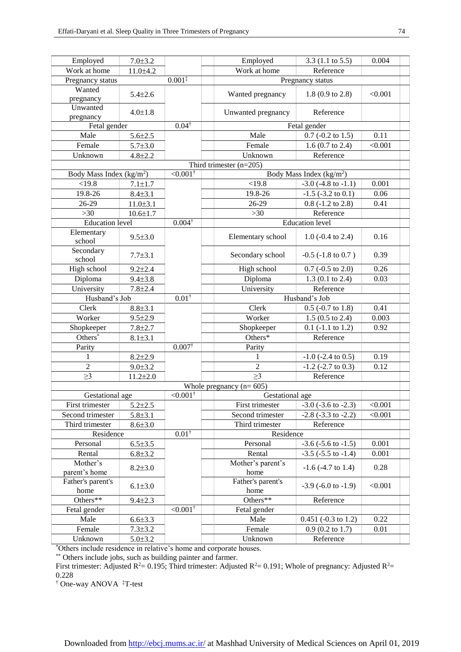| Employed                                                                                                       | $7.0 \pm 3.2$  |                        | Employed                  | $3.3(1.1 \text{ to } 5.5)$             | 0.004   |  |
|----------------------------------------------------------------------------------------------------------------|----------------|------------------------|---------------------------|----------------------------------------|---------|--|
| Work at home                                                                                                   | $11.0 + 4.2$   | $0.001*$               | Work at home              | Reference                              |         |  |
| Pregnancy status                                                                                               |                |                        |                           | Pregnancy status                       |         |  |
| Wanted                                                                                                         | $5.4 \pm 2.6$  |                        | Wanted pregnancy          | $1.8(0.9 \text{ to } 2.8)$             | < 0.001 |  |
| pregnancy                                                                                                      |                |                        |                           |                                        |         |  |
| Unwanted                                                                                                       | $4.0 \pm 1.8$  |                        | Unwanted pregnancy        | Reference                              |         |  |
| pregnancy                                                                                                      |                |                        |                           |                                        |         |  |
| Fetal gender                                                                                                   |                | $0.04^{\dagger}$       | Fetal gender              |                                        |         |  |
| Male                                                                                                           | $5.6 \pm 2.5$  |                        | Male                      | $0.7$ (-0.2 to 1.5)                    | 0.11    |  |
| Female                                                                                                         | $5.7 \pm 3.0$  |                        | Female                    | 1.6 (0.7 to 2.4)                       | < 0.001 |  |
| Unknown                                                                                                        | $4.8 \pm 2.2$  |                        | Unknown                   | Reference                              |         |  |
| Third trimester $(n=205)$<br>$< 0.001^{\dagger}$<br>Body Mass Index ( $kg/m2$ )<br>Body Mass Index ( $kg/m2$ ) |                |                        |                           |                                        |         |  |
| <19.8                                                                                                          | $7.1 + 1.7$    |                        | <19.8                     | $-3.0$ ( $-4.8$ to $-1.1$ )            | 0.001   |  |
| 19.8-26                                                                                                        |                |                        |                           |                                        |         |  |
|                                                                                                                | $8.4 + 3.1$    |                        | 19.8-26                   | $-1.5$ ( $-3.2$ to 0.1)                | 0.06    |  |
| 26-29                                                                                                          | $11.0 \pm 3.1$ |                        | 26-29                     | $0.8$ ( $-1.2$ to $2.8$ )<br>Reference | 0.41    |  |
| $>30$                                                                                                          | $10.6 \pm 1.7$ |                        | $>30$                     |                                        |         |  |
| <b>Education</b> level                                                                                         |                | $0.004^{\dagger}$      |                           | <b>Education</b> level                 |         |  |
| Elementary<br>school                                                                                           | $9.5 \pm 3.0$  |                        | Elementary school         | $1.0$ (-0.4 to 2.4)                    | 0.16    |  |
| Secondary<br>school                                                                                            | $7.7 \pm 3.1$  |                        | Secondary school          | $-0.5$ ( $-1.8$ to $0.7$ )             | 0.39    |  |
| High school                                                                                                    | $9.2 \pm 2.4$  |                        | High school               | $0.7$ (-0.5 to 2.0)                    | 0.26    |  |
| Diploma                                                                                                        | $9.4 \pm 3.8$  |                        | Diploma                   | $1.3(0.1 \text{ to } 2.4)$             | 0.03    |  |
| University                                                                                                     | $7.8 + 2.4$    |                        | University                | Reference                              |         |  |
| Husband's Job                                                                                                  |                | $0.01^{\dagger}$       | Husband's Job             |                                        |         |  |
| Clerk                                                                                                          | $8.8 + 3.1$    |                        | Clerk                     | $0.5$ (-0.7 to 1.8)                    | 0.41    |  |
| Worker                                                                                                         | $9.5 \pm 2.9$  |                        | Worker                    | $1.5(0.5 \text{ to } 2.4)$             | 0.003   |  |
| Shopkeeper                                                                                                     | $7.8 + 2.7$    |                        | Shopkeeper                | $0.1$ (-1.1 to 1.2)                    | 0.92    |  |
| Others <sup>®</sup>                                                                                            | $8.1 \pm 3.1$  |                        | Others*                   | Reference                              |         |  |
| Parity                                                                                                         |                | $0.007^{\dagger}$      | Parity                    |                                        |         |  |
| 1                                                                                                              | $8.2 \pm 2.9$  |                        | 1                         | $-1.0$ ( $-2.4$ to 0.5)                | 0.19    |  |
| $\overline{c}$                                                                                                 | $9.0 \pm 3.2$  |                        | $\overline{2}$            | $-1.2$ ( $-2.7$ to 0.3)                | 0.12    |  |
| $\geq$ 3                                                                                                       | $11.2 \pm 2.0$ |                        | $\geq$ 3                  | Reference                              |         |  |
|                                                                                                                |                |                        | Whole pregnancy $(n=605)$ |                                        |         |  |
| $< 0.001^{\dagger}$<br>Gestational age                                                                         |                |                        | Gestational age           |                                        |         |  |
| First trimester                                                                                                | $5.2 \pm 2.5$  |                        | First trimester           | $-3.0$ ( $-3.6$ to $-2.3$ )            | < 0.001 |  |
| Second trimester                                                                                               | $5.8 \pm 3.1$  |                        | Second trimester          | $-2.8$ $(-3.3$ to $-2.2)$              | < 0.001 |  |
| Third trimester                                                                                                | $8.6 + 3.0$    |                        | Third trimester           | Reference                              |         |  |
| Residence                                                                                                      |                | $0.01^{\dagger}$       | Residence                 |                                        |         |  |
| Personal                                                                                                       | $6.5 \pm 3.5$  |                        | Personal                  | $-3.6$ ( $-5.6$ to $-1.5$ )            | 0.001   |  |
| Rental                                                                                                         | $6.8{\pm}3.2$  |                        | Rental                    | $-3.5$ ( $-5.5$ to $-1.4$ )            | 0.001   |  |
| Mother's<br>parent's home                                                                                      | $8.2 \pm 3.0$  |                        | Mother's parent's<br>home | $-1.6$ ( $-4.7$ to 1.4)                | 0.28    |  |
| Father's parent's                                                                                              | $6.1 \pm 3.0$  |                        | Father's parent's         | $-3.9$ ( $-6.0$ to $-1.9$ )            | < 0.001 |  |
| home                                                                                                           |                |                        | home                      |                                        |         |  |
| Others**                                                                                                       | $9.4 \pm 2.3$  |                        | Others**                  | Reference                              |         |  |
| Fetal gender                                                                                                   |                | $\leq 0.001^{\dagger}$ | Fetal gender              |                                        |         |  |
| Male                                                                                                           | $6.6 \pm 3.3$  |                        | Male                      | $0.451$ (-0.3 to 1.2)                  | 0.22    |  |
| Female                                                                                                         | $7.3 \pm 3.2$  |                        | Female                    | $0.9$ (0.2 to 1.7)                     | 0.01    |  |
| Unknown                                                                                                        | $5.0 \pm 3.2$  |                        | Unknown                   | Reference                              |         |  |

\*Others include residence in relative's home and corporate houses.

\*\* Others include jobs, such as building painter and farmer.

First trimester: Adjusted R<sup>2</sup>= 0.195; Third trimester: Adjusted R<sup>2</sup>= 0.191; Whole of pregnancy: Adjusted R<sup>2</sup>= 0.228

† One-way ANOVA ‡T-test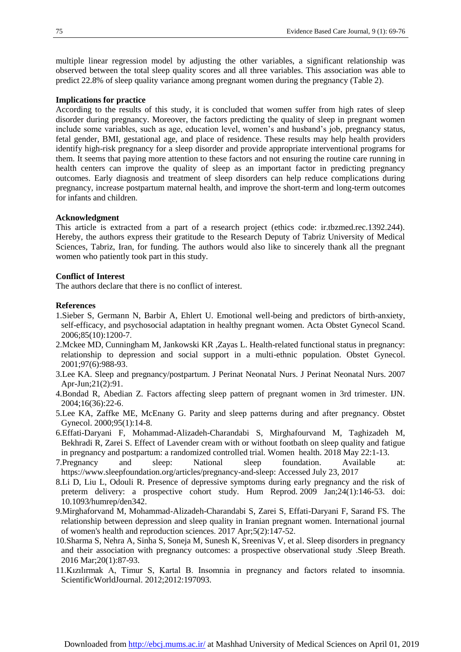multiple linear regression model by adjusting the other variables, a significant relationship was observed between the total sleep quality scores and all three variables. This association was able to predict 22.8% of sleep quality variance among pregnant women during the pregnancy (Table 2).

#### **Implications for practice**

According to the results of this study, it is concluded that women suffer from high rates of sleep disorder during pregnancy. Moreover, the factors predicting the quality of sleep in pregnant women include some variables, such as age, education level, women's and husband's job, pregnancy status, fetal gender, BMI, gestational age, and place of residence. These results may help health providers identify high-risk pregnancy for a sleep disorder and provide appropriate interventional programs for them. It seems that paying more attention to these factors and not ensuring the routine care running in health centers can improve the quality of sleep as an important factor in predicting pregnancy outcomes. Early diagnosis and treatment of sleep disorders can help reduce complications during pregnancy, increase postpartum maternal health, and improve the short-term and long-term outcomes for infants and children.

#### **Acknowledgment**

This article is extracted from a part of a research project (ethics code: ir.tbzmed.rec.1392.244). Hereby, the authors express their gratitude to the Research Deputy of Tabriz University of Medical Sciences, Tabriz, Iran, for funding. The authors would also like to sincerely thank all the pregnant women who patiently took part in this study.

#### **Conflict of Interest**

The authors declare that there is no conflict of interest.

#### **References**

- <span id="page-7-0"></span>1.Sieber S, Germann N, Barbir A, Ehlert U. Emotional well-being and predictors of birth-anxiety, self-efficacy, and psychosocial adaptation in healthy pregnant women. Acta Obstet Gynecol Scand. 2006;85(10):1200-7.
- <span id="page-7-1"></span>2.Mckee MD, Cunningham M, Jankowski KR ,Zayas L. Health-related functional status in pregnancy: relationship to depression and social support in a multi-ethnic population. Obstet Gynecol. 2001;97(6):988-93.
- <span id="page-7-2"></span>3.Lee KA. Sleep and pregnancy/postpartum. J Perinat Neonatal Nurs. [J Perinat Neonatal Nurs.](https://www.ncbi.nlm.nih.gov/pubmed/?term=Sleep+and+pregnancy%2Fpostpartum) 2007 Apr-Jun;21(2):91.
- <span id="page-7-3"></span>4.Bondad R, Abedian Z. Factors affecting sleep pattern of pregnant women in 3rd trimester. IJN. 2004;16(36):22-6.
- <span id="page-7-4"></span>5.Lee KA, Zaffke ME, McEnany G. Parity and sleep patterns during and after pregnancy. Obstet Gynecol. 2000;95(1):14-8.
- <span id="page-7-5"></span>6.Effati-Daryani F, Mohammad-Alizadeh-Charandabi S, Mirghafourvand M, Taghizadeh M, Bekhradi R, Zarei S. Effect of Lavender cream with or without footbath on sleep quality and fatigue in pregnancy and postpartum: a randomized controlled trial. Women health. 2018 May 22:1-13.
- <span id="page-7-6"></span>7.Pregnancy and sleep: National sleep foundation. Available at: [https://www.sleepfoundation.org/articles/pregnancy-and-sleep:](https://www.sleepfoundation.org/articles/pregnancy-and-sleep) Accessed July 23, 2017
- <span id="page-7-7"></span>8.Li D, Liu L, Odouli R. Presence of depressive symptoms during early pregnancy and the risk of preterm delivery: a prospective cohort study. [Hum Reprod.](https://www.ncbi.nlm.nih.gov/pubmed/?term=Presence+of+depressive+symptoms+during+early+pregnancy+and+the+risk+of+preterm+delivery%3A+a+prospective+cohort+study) 2009 Jan;24(1):146-53. doi: 10.1093/humrep/den342.
- <span id="page-7-8"></span>9.Mirghaforvand M, Mohammad-Alizadeh-Charandabi S, Zarei S, Effati-Daryani F, Sarand FS. The relationship between depression and sleep quality in Iranian pregnant women. International journal of women's health and reproduction sciences. 2017 Apr;5(2):147-52.
- <span id="page-7-9"></span>10.Sharma S, Nehra A, Sinha S, Soneja M, Sunesh K, Sreenivas V, et al. Sleep disorders in pregnancy and their association with pregnancy outcomes: a prospective observational study .Sleep Breath. 2016 Mar;20(1):87-93.
- <span id="page-7-10"></span>11.Kızılırmak A, Timur S, Kartal B. Insomnia in pregnancy and factors related to insomnia. [ScientificWorldJournal.](https://www.ncbi.nlm.nih.gov/pubmed/22623880) 2012;2012:197093.